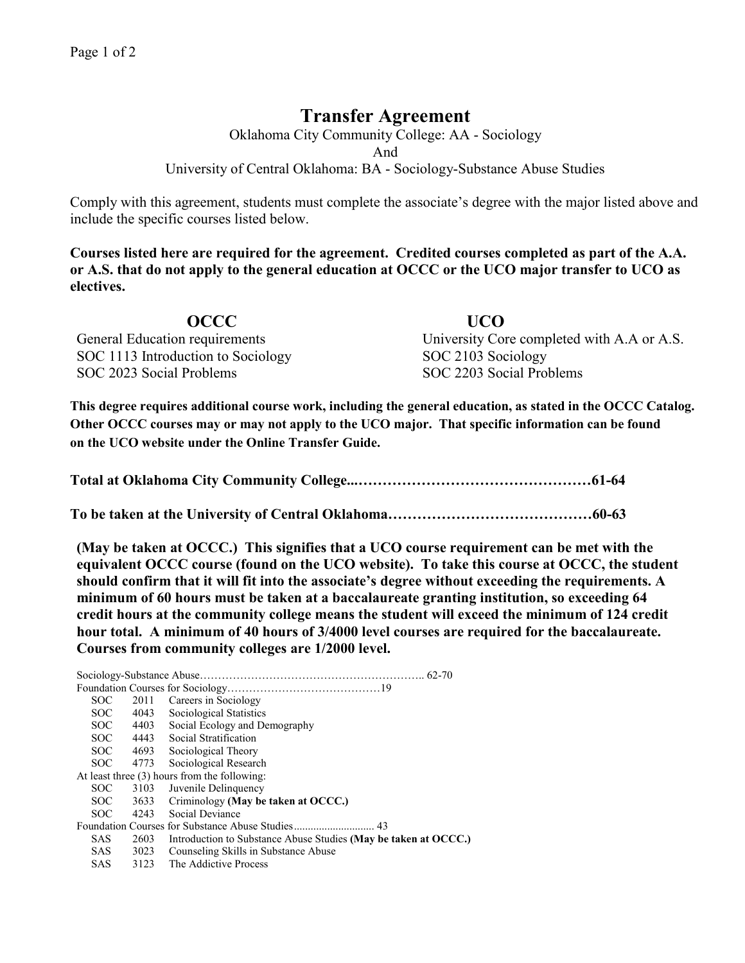## **Transfer Agreement**

Oklahoma City Community College: AA - Sociology And University of Central Oklahoma: BA - Sociology-Substance Abuse Studies

Comply with this agreement, students must complete the associate's degree with the major listed above and include the specific courses listed below.

**Courses listed here are required for the agreement. Credited courses completed as part of the A.A. or A.S. that do not apply to the general education at OCCC or the UCO major transfer to UCO as electives.**

**OCCC UCO**  General Education requirements University Core completed with A.A or A.S. SOC 1113 Introduction to Sociology SOC 2103 Sociology SOC 2023 Social Problems SOC 2203 Social Problems

**This degree requires additional course work, including the general education, as stated in the OCCC Catalog. Other OCCC courses may or may not apply to the UCO major. That specific information can be found on the UCO website under the Online Transfer Guide.**

**(May be taken at OCCC.) This signifies that a UCO course requirement can be met with the equivalent OCCC course (found on the UCO website). To take this course at OCCC, the student should confirm that it will fit into the associate's degree without exceeding the requirements. A minimum of 60 hours must be taken at a baccalaureate granting institution, so exceeding 64 credit hours at the community college means the student will exceed the minimum of 124 credit hour total. A minimum of 40 hours of 3/4000 level courses are required for the baccalaureate. Courses from community colleges are 1/2000 level.**

Sociology-Substance Abuse…………………………………………………….. 62-70 Foundation Courses for Sociology……………………………………19 SOC 2011 Careers in Sociology SOC 4043 Sociological Statistics SOC 4403 Social Ecology and Demography SOC 4443 Social Stratification SOC 4693 Sociological Theory SOC 4773 Sociological Research At least three (3) hours from the following: SOC 3103 Juvenile Delinquency<br>SOC 3633 Criminology (May be SOC 3633 Criminology **(May be taken at OCCC.)**<br>SOC 4243 Social Deviance 4243 Social Deviance Foundation Courses for Substance Abuse Studies............................. 43 SAS 2603 Introduction to Substance Abuse Studies **(May be taken at OCCC.)**<br>SAS 3023 Counseling Skills in Substance Abuse 3023 Counseling Skills in Substance Abuse SAS 3123 The Addictive Process